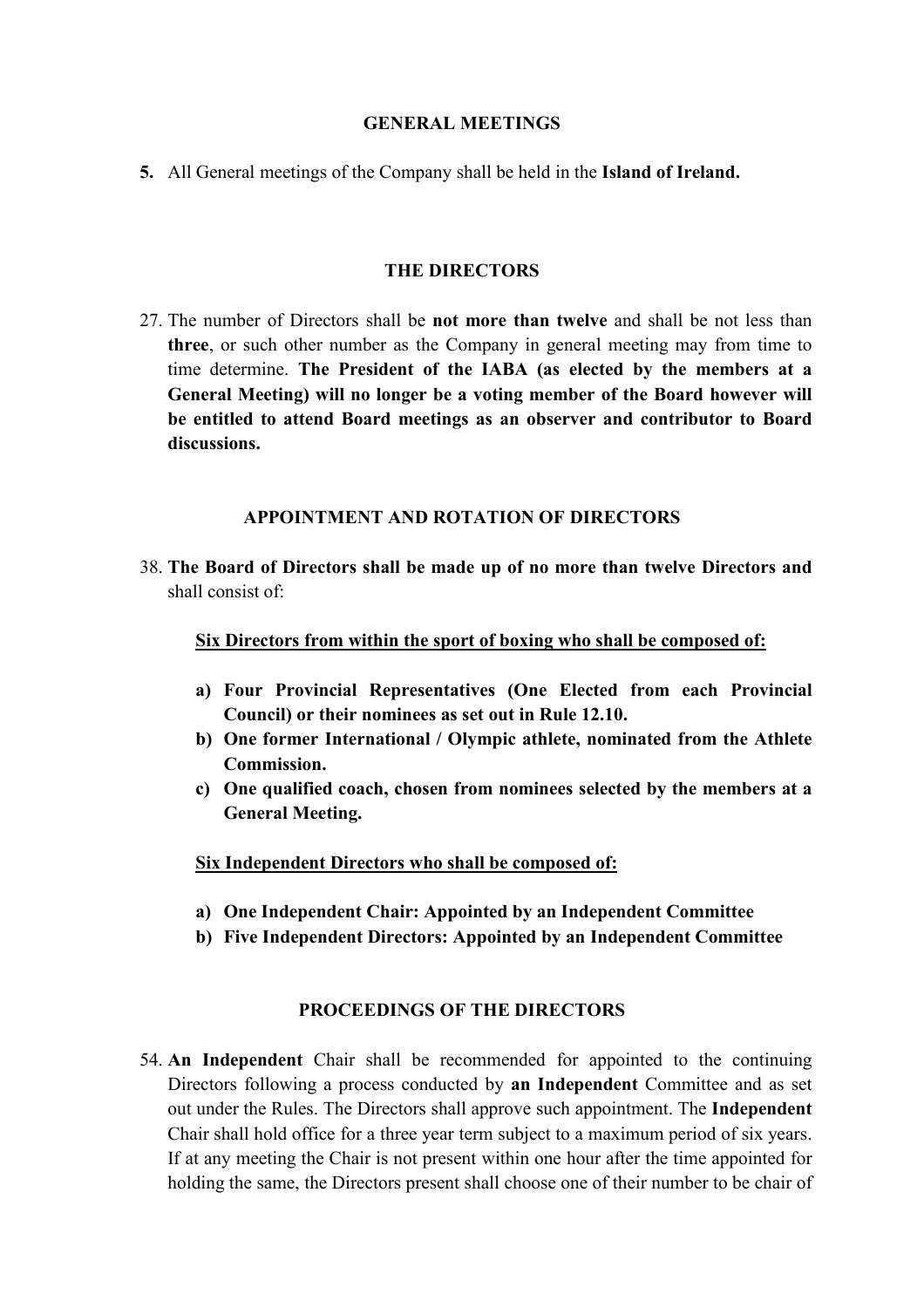## **GENERAL MEETINGS**

**5.** All General meetings of the Company shall be held in the **Island of Ireland.**

## **THE DIRECTORS**

27. The number of Directors shall be **not more than twelve** and shall be not less than **three**, or such other number as the Company in general meeting may from time to time determine. **The President of the IABA (as elected by the members at a General Meeting) will no longer be a voting member of the Board however will be entitled to attend Board meetings as an observer and contributor to Board discussions.**

### **APPOINTMENT AND ROTATION OF DIRECTORS**

38. **The Board of Directors shall be made up of no more than twelve Directors and** shall consist of:

### **Six Directors from within the sport of boxing who shall be composed of:**

- **a) Four Provincial Representatives (One Elected from each Provincial Council) or their nominees as set out in Rule 12.10.**
- **b) One former International / Olympic athlete, nominated from the Athlete Commission.**
- **c) One qualified coach, chosen from nominees selected by the members at a General Meeting.**

**Six Independent Directors who shall be composed of:**

- **a) One Independent Chair: Appointed by an Independent Committee**
- **b) Five Independent Directors: Appointed by an Independent Committee**

# **PROCEEDINGS OF THE DIRECTORS**

54. **An Independent** Chair shall be recommended for appointed to the continuing Directors following a process conducted by **an Independent** Committee and as set out under the Rules. The Directors shallapprove such appointment. The **Independent** Chair shall hold office for a three year term subject to a maximum period of six years. If at any meeting the Chair is not present within one hour after the time appointed for holding the same, the Directors present shall choose one of their number to be chair of